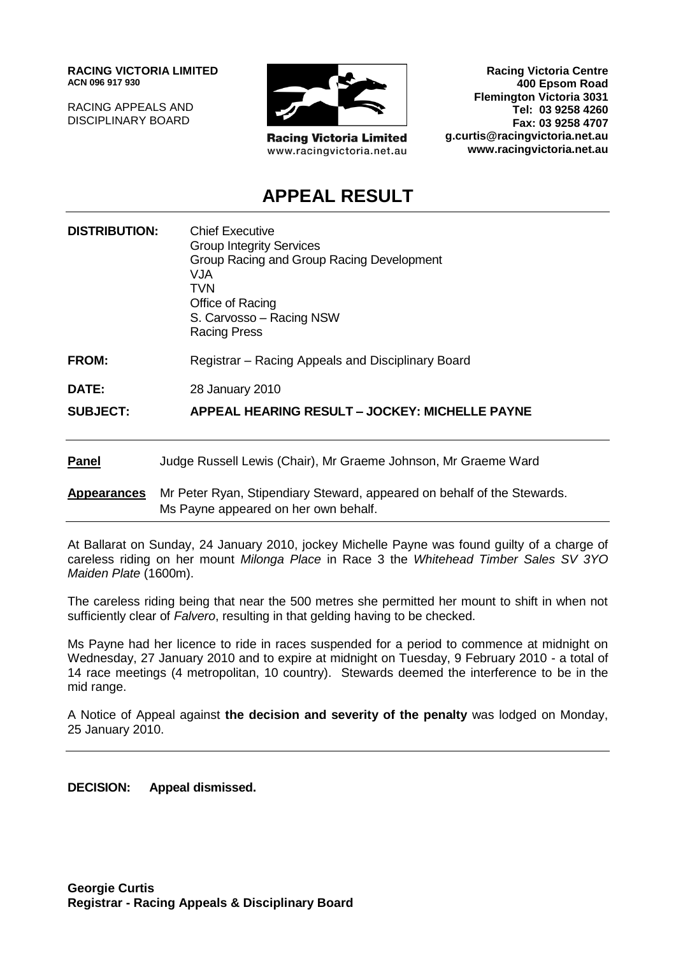**RACING VICTORIA LIMITED ACN 096 917 930**

RACING APPEALS AND DISCIPLINARY BOARD



**Racing Victoria Limited** www.racingvictoria.net.au

**Racing Victoria Centre 400 Epsom Road Flemington Victoria 3031 Tel: 03 9258 4260 Fax: 03 9258 4707 g.curtis@racingvictoria.net.au www.racingvictoria.net.au**

# **APPEAL RESULT**

| <b>DISTRIBUTION:</b> | <b>Chief Executive</b><br><b>Group Integrity Services</b><br>Group Racing and Group Racing Development<br>VJA<br><b>TVN</b><br>Office of Racing<br>S. Carvosso - Racing NSW<br><b>Racing Press</b> |
|----------------------|----------------------------------------------------------------------------------------------------------------------------------------------------------------------------------------------------|
| <b>FROM:</b>         | Registrar – Racing Appeals and Disciplinary Board                                                                                                                                                  |
| DATE:                | 28 January 2010                                                                                                                                                                                    |
| <b>SUBJECT:</b>      | APPEAL HEARING RESULT - JOCKEY: MICHELLE PAYNE                                                                                                                                                     |
| <b>Panel</b>         | Judge Russell Lewis (Chair), Mr Graeme Johnson, Mr Graeme Ward                                                                                                                                     |
| <b>Appearances</b>   | Mr Peter Ryan, Stipendiary Steward, appeared on behalf of the Stewards.                                                                                                                            |

At Ballarat on Sunday, 24 January 2010, jockey Michelle Payne was found guilty of a charge of careless riding on her mount *Milonga Place* in Race 3 the *Whitehead Timber Sales SV 3YO* 

Ms Payne appeared on her own behalf.

The careless riding being that near the 500 metres she permitted her mount to shift in when not sufficiently clear of *Falvero*, resulting in that gelding having to be checked.

Ms Payne had her licence to ride in races suspended for a period to commence at midnight on Wednesday, 27 January 2010 and to expire at midnight on Tuesday, 9 February 2010 - a total of 14 race meetings (4 metropolitan, 10 country). Stewards deemed the interference to be in the mid range.

A Notice of Appeal against **the decision and severity of the penalty** was lodged on Monday, 25 January 2010.

**DECISION: Appeal dismissed.**

*Maiden Plate* (1600m).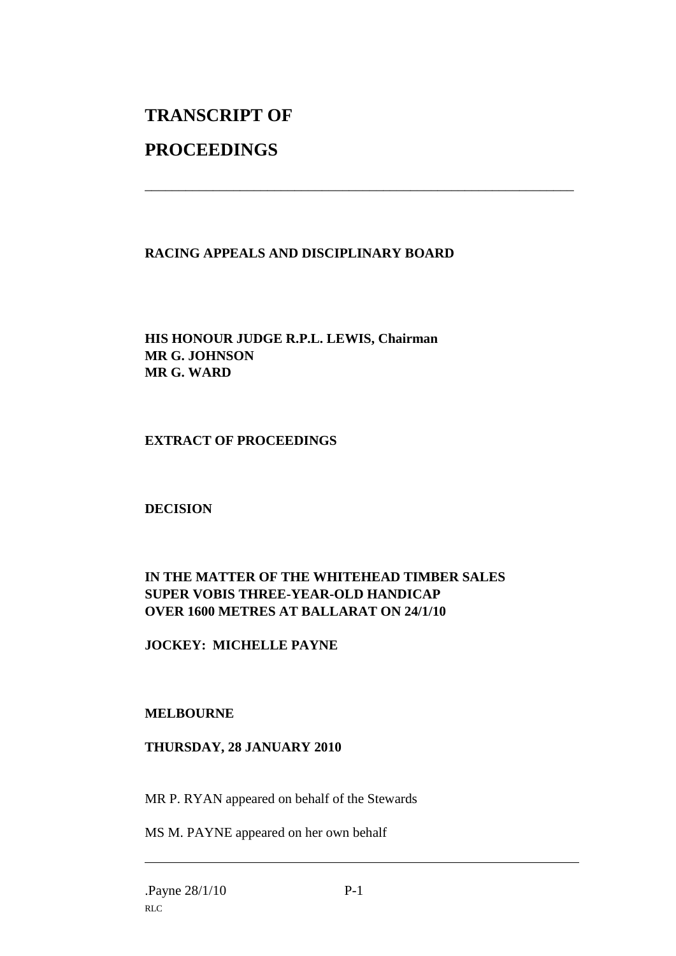# **TRANSCRIPT OF**

# **PROCEEDINGS**

## **RACING APPEALS AND DISCIPLINARY BOARD**

\_\_\_\_\_\_\_\_\_\_\_\_\_\_\_\_\_\_\_\_\_\_\_\_\_\_\_\_\_\_\_\_\_\_\_\_\_\_\_\_\_\_\_\_\_\_\_\_\_\_\_\_\_\_\_\_\_\_\_\_\_\_\_

#### **HIS HONOUR JUDGE R.P.L. LEWIS, Chairman MR G. JOHNSON MR G. WARD**

## **EXTRACT OF PROCEEDINGS**

#### **DECISION**

## **IN THE MATTER OF THE WHITEHEAD TIMBER SALES SUPER VOBIS THREE-YEAR-OLD HANDICAP OVER 1600 METRES AT BALLARAT ON 24/1/10**

#### **JOCKEY: MICHELLE PAYNE**

#### **MELBOURNE**

#### **THURSDAY, 28 JANUARY 2010**

MR P. RYAN appeared on behalf of the Stewards

MS M. PAYNE appeared on her own behalf